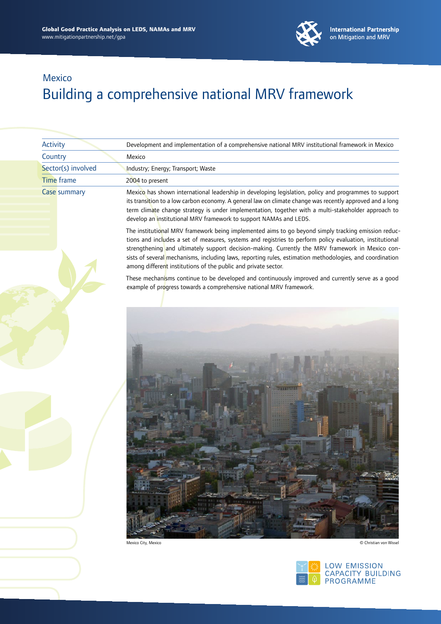

 $\left|\frac{\approx}{2}\right|$   $\theta$  PROGRAMME

|  | Activity           | Development and implementation of a comprehensive national MRV institutional framework in Mexico                                                                                                                                                                                                                                                                                                                                                                                                  |
|--|--------------------|---------------------------------------------------------------------------------------------------------------------------------------------------------------------------------------------------------------------------------------------------------------------------------------------------------------------------------------------------------------------------------------------------------------------------------------------------------------------------------------------------|
|  | Country            | Mexico                                                                                                                                                                                                                                                                                                                                                                                                                                                                                            |
|  | Sector(s) involved | Industry; Energy; Transport; Waste                                                                                                                                                                                                                                                                                                                                                                                                                                                                |
|  | <b>Time frame</b>  | 2004 to present                                                                                                                                                                                                                                                                                                                                                                                                                                                                                   |
|  | Case summary       | Mexico has shown international leadership in developing legislation, policy and programmes to support<br>its transition to a low carbon economy. A general law on climate change was recently approved and a long<br>term climate change strategy is under implementation, together with a multi-stakeholder approach to<br>develop an institutional MRV framework to support NAMAs and LEDS.                                                                                                     |
|  |                    | The institutional MRV framework being implemented aims to go beyond simply tracking emission reduc-<br>tions and includes a set of measures, systems and registries to perform policy evaluation, institutional<br>strengthening and ultimately support decision-making. Currently the MRV framework in Mexico con-<br>sists of several mechanisms, including laws, reporting rules, estimation methodologies, and coordination<br>among different institutions of the public and private sector. |
|  |                    | These mechanisms continue to be developed and continuously improved and currently serve as a good<br>example of progress towards a comprehensive national MRV framework.                                                                                                                                                                                                                                                                                                                          |
|  |                    |                                                                                                                                                                                                                                                                                                                                                                                                                                                                                                   |
|  |                    | Mexico City, Mexico<br>© Christian von Wissel                                                                                                                                                                                                                                                                                                                                                                                                                                                     |
|  |                    | LOW EMISSION<br>CAPACITY BUILDING                                                                                                                                                                                                                                                                                                                                                                                                                                                                 |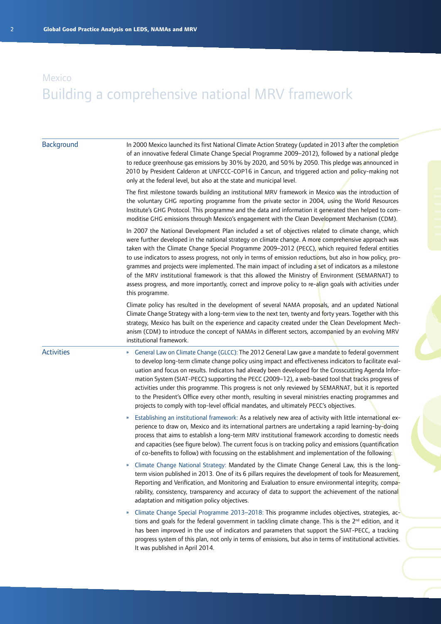| Background        | In 2000 Mexico launched its first National Climate Action Strategy (updated in 2013 after the completion<br>of an innovative federal Climate Change Special Programme 2009-2012), followed by a national pledge<br>to reduce greenhouse gas emissions by 30% by 2020, and 50% by 2050. This pledge was announced in<br>2010 by President Calderon at UNFCCC-COP16 in Cancun, and triggered action and policy-making not<br>only at the federal level, but also at the state and municipal level.                                                                                                                                                                                                                                                                                |
|-------------------|---------------------------------------------------------------------------------------------------------------------------------------------------------------------------------------------------------------------------------------------------------------------------------------------------------------------------------------------------------------------------------------------------------------------------------------------------------------------------------------------------------------------------------------------------------------------------------------------------------------------------------------------------------------------------------------------------------------------------------------------------------------------------------|
|                   | The first milestone towards building an institutional MRV framework in Mexico was the introduction of<br>the voluntary GHG reporting programme from the private sector in 2004, using the World Resources<br>Institute's GHG Protocol. This programme and the data and information it generated then helped to com-<br>moditise GHG emissions through Mexico's engagement with the Clean Development Mechanism (CDM).                                                                                                                                                                                                                                                                                                                                                           |
|                   | In 2007 the National Development Plan included a set of objectives related to climate change, which<br>were further developed in the national strategy on climate change. A more comprehensive approach was<br>taken with the Climate Change Special Programme 2009-2012 (PECC), which required federal entities<br>to use indicators to assess progress, not only in terms of emission reductions, but also in how policy, pro-<br>grammes and projects were implemented. The main impact of including a set of indicators as a milestone<br>of the MRV institutional framework is that this allowed the Ministry of Environment (SEMARNAT) to<br>assess progress, and more importantly, correct and improve policy to re-align goals with activities under<br>this programme. |
|                   | Climate policy has resulted in the development of several NAMA proposals, and an updated National<br>Climate Change Strategy with a long-term view to the next ten, twenty and forty years. Together with this<br>strategy, Mexico has built on the experience and capacity created under the Clean Development Mech-<br>anism (CDM) to introduce the concept of NAMAs in different sectors, accompanied by an evolving MRV<br>institutional framework.                                                                                                                                                                                                                                                                                                                         |
| <b>Activities</b> | General Law on Climate Change (GLCC): The 2012 General Law gave a mandate to federal government<br>$\boldsymbol{\mathcal{W}}$<br>to develop long-term climate change policy using impact and effectiveness indicators to facilitate eval-<br>uation and focus on results. Indicators had already been developed for the Crosscutting Agenda Infor-<br>mation System (SIAT-PECC) supporting the PECC (2009-12), a web-based tool that tracks progress of<br>activities under this programme. This progress is not only reviewed by SEMARNAT, but it is reported<br>to the President's Office every other month, resulting in several ministries enacting programmes and<br>projects to comply with top-level official mandates, and ultimately PECC's objectives.                |
|                   | Establishing an institutional framework: As a relatively new area of activity with little international ex-<br>»<br>perience to draw on, Mexico and its international partners are undertaking a rapid learning-by-doing<br>process that aims to establish a long-term MRV institutional framework according to domestic needs<br>and capacities (see figure below). The current focus is on tracking policy and emissions (quantification<br>of co-benefits to follow) with focussing on the establishment and implementation of the following:                                                                                                                                                                                                                                |
|                   | Climate Change National Strategy: Mandated by the Climate Change General Law, this is the long-<br>term vision published in 2013. One of its 6 pillars requires the development of tools for Measurement,<br>Reporting and Verification, and Monitoring and Evaluation to ensure environmental integrity, compa-<br>rability, consistency, transparency and accuracy of data to support the achievement of the national<br>adaptation and mitigation policy objectives.                                                                                                                                                                                                                                                                                                         |
|                   | Climate Change Special Programme 2013-2018: This programme includes objectives, strategies, ac-<br>»<br>tions and goals for the federal government in tackling climate change. This is the 2 <sup>nd</sup> edition, and it<br>has been improved in the use of indicators and parameters that support the SIAT-PECC, a tracking<br>progress system of this plan, not only in terms of emissions, but also in terms of institutional activities.<br>It was published in April 2014.                                                                                                                                                                                                                                                                                               |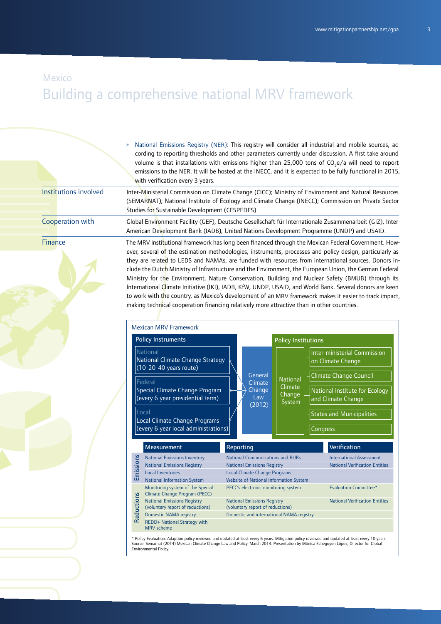### Mexico

# Building a comprehensive national MRV framework

|  | » National Emissions Registry (NER): This registry will consider all industrial and mobile sources, ac-        |
|--|----------------------------------------------------------------------------------------------------------------|
|  | cording to reporting thresholds and other parameters currently under discussion. A first take around           |
|  | volume is that installations with emissions higher than 25,000 tons of CO <sub>3</sub> e/a will need to report |
|  | emissions to the NER. It will be hosted at the INECC, and it is expected to be fully functional in 2015,       |
|  | with verification every 3 years.                                                                               |

Inter-Ministerial Commission on Climate Change (CICC); Ministry of Environment and Natural Resources (SEMARNAT); National Institute of Ecology and Climate Change (INECC); Commission on Private Sector Studies for Sustainable Development (CESPEDES). Institutions involved Cooperation with

Global Environment Facility (GEF), Deutsche Gesellschaft für Internationale Zusammenarbeit (GIZ), Inter-American Development Bank (IADB), United Nations Development Programme (UNDP) and USAID.

#### **Finance**

The MRV institutional framework has long been financed through the Mexican Federal Government. However, several of the estimation methodologies, instruments, processes and policy design, particularly as they are related to LEDS and NAMAs, are funded with resources from international sources. Donors include the Dutch Ministry of Infrastructure and the Environment, the European Union, the German Federal Ministry for the Environment, Nature Conservation, Building and Nuclear Safety (BMUB) through its International Climate Initiative (IKI), IADB, KfW, UNDP, USAID, and World Bank. Several donors are keen to work with the country, as Mexico's development of an MRV framework makes it easier to track impact, making technical cooperation financing relatively more attractive than in other countries.



\* Policy Evaluation: Adaption policy reviewed and updated at least every 6 years. Mitigation policy reviewed and updated at least every 10 years. Source: Semarnat (2014) Mexican Climate Change Law and Policy. March 2014. Presentation by Mónica Echegoyen López, Director for Global Environmental Policy.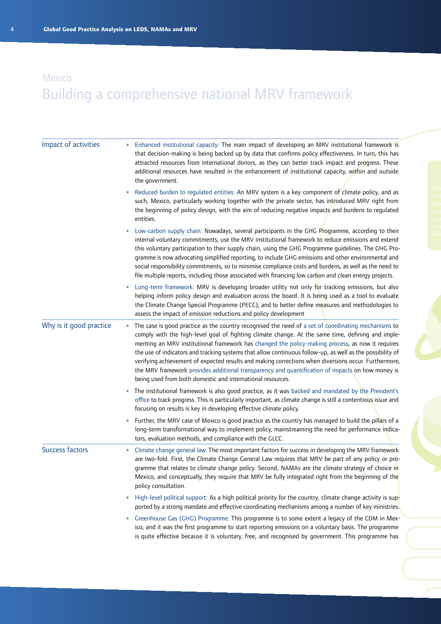| Impact of activities    | Enhanced institutional capacity: The main impact of developing an MRV institutional framework is<br>that decision-making is being backed up by data that confirms policy effectiveness. In turn, this has<br>attracted resources from international donors, as they can better track impact and progress. These<br>additional resources have resulted in the enhancement of institutional capacity, within and outside<br>the government.                                                                                                                                                                                                                                                                                         |
|-------------------------|-----------------------------------------------------------------------------------------------------------------------------------------------------------------------------------------------------------------------------------------------------------------------------------------------------------------------------------------------------------------------------------------------------------------------------------------------------------------------------------------------------------------------------------------------------------------------------------------------------------------------------------------------------------------------------------------------------------------------------------|
|                         | Reduced burden to regulated entities: An MRV system is a key component of climate policy, and as<br>$\boldsymbol{\mathcal{Y}}$<br>such, Mexico, particularly working together with the private sector, has introduced MRV right from<br>the beginning of policy design, with the aim of reducing negative impacts and burdens to regulated<br>entities.                                                                                                                                                                                                                                                                                                                                                                           |
|                         | Low-carbon supply chain: Nowadays, several participants in the GHG Programme, according to their<br>»<br>internal voluntary commitments, use the MRV institutional framework to reduce emissions and extend<br>this voluntary participation to their supply chain, using the GHG Programme guidelines. The GHG Pro-<br>gramme is now advocating simplified reporting, to include GHG emissions and other environmental and<br>social responsibility commitments, so to minimise compliance costs and burdens, as well as the need to<br>file multiple reports, including those associated with financing low carbon and clean energy projects.                                                                                    |
|                         | Long-term framework: MRV is developing broader utility not only for tracking emissions, but also<br>$\boldsymbol{\mathcal{V}}$<br>helping inform policy design and evaluation across the board. It is being used as a tool to evaluate<br>the Climate Change Special Programme (PECC), and to better define measures and methodologies to<br>assess the impact of emission reductions and policy development                                                                                                                                                                                                                                                                                                                      |
| Why is it good practice | The case is good practice as the country recognised the need of a set of coordinating mechanisms to<br>$\boldsymbol{\mathcal{V}}$<br>comply with the high-level goal of fighting climate change. At the same time, defining and imple-<br>menting an MRV institutional framework has changed the policy-making process, as now it requires<br>the use of indicators and tracking systems that allow continuous follow-up, as well as the possibility of<br>verifying achievement of expected results and making corrections when diversions occur. Furthermore,<br>the MRV framework provides additional transparency and quantification of impacts on how money is<br>being used from both domestic and international resources. |
|                         | The institutional framework is also good practice, as it was backed and mandated by the President's<br>»<br>office to track progress. This is particularly important, as climate change is still a contentious issue and<br>focusing on results is key in developing effective climate policy.                                                                                                                                                                                                                                                                                                                                                                                                                                    |
|                         | Further, the MRV case of Mexico is good practice as the country has managed to build the pillars of a<br>$\boldsymbol{\mathcal{Y}}$<br>long-term transformational way to implement policy, mainstreaming the need for performance indica-<br>tors, evaluation methods, and compliance with the GLCC.                                                                                                                                                                                                                                                                                                                                                                                                                              |
| <b>Success factors</b>  | Climate change general law: The most important factors for success in developing the MRV framework<br>$\boldsymbol{\mathcal{Y}}$<br>are two-fold. First, the Climate Change General Law requires that MRV be part of any policy or pro-<br>gramme that relates to climate change policy. Second, NAMAs are the climate strategy of choice in<br>Mexico, and conceptually, they require that MRV be fully integrated right from the beginning of the<br>policy consultation.                                                                                                                                                                                                                                                       |
|                         | High-level political support: As a high political priority for the country, climate change activity is sup-<br>$\boldsymbol{\mathcal{Y}}$<br>ported by a strong mandate and effective coordinating mechanisms among a number of key ministries.                                                                                                                                                                                                                                                                                                                                                                                                                                                                                   |
|                         | Greenhouse Gas (GHG) Programme: This programme is to some extent a legacy of the CDM in Mex-<br>$\boldsymbol{\mathcal{V}}$<br>ico, and it was the first programme to start reporting emissions on a voluntary basis. The programme<br>is quite effective because it is voluntary, free, and recognised by government. This programme has                                                                                                                                                                                                                                                                                                                                                                                          |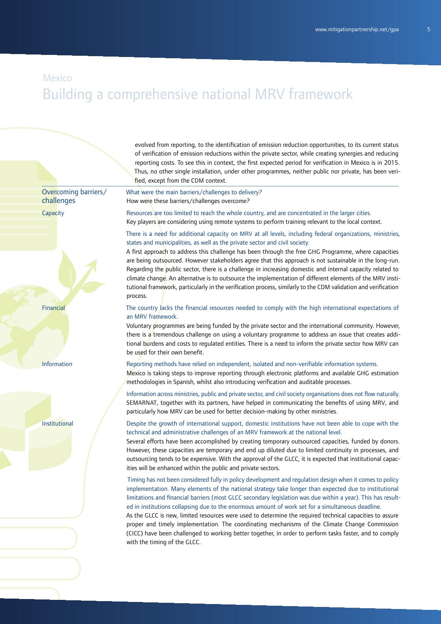### Mexico

# Building a comprehensive national MRV framework

evolved from reporting, to the identification of emission reduction opportunities, to its current status of verification of emission reductions within the private sector, while creating synergies and reducing reporting costs. To see this in context, the first expected period for verification in Mexico is in 2015. Thus, no other single installation, under other programmes, neither public nor private, has been verified, except from the CDM context.

Overcoming barriers/ challenges

**Capacity** 

Financial

Information

Institutional

What were the main barriers/challenges to delivery? How were these barriers/challenges overcome?

Resources are too limited to reach the whole country, and are concentrated in the larger cities. Key players are considering using remote systems to perform training relevant to the local context.

There is a need for additional capacity on MRV at all levels, including federal organizations, ministries, states and municipalities, as well as the private sector and civil society.

A first approach to address this challenge has been through the free GHG Programme, where capacities are being outsourced. However stakeholders agree that this approach is not sustainable in the long-run. Regarding the public sector, there is a challenge in increasing domestic and internal capacity related to climate change. An alternative is to outsource the implementation of different elements of the MRV institutional framework, particularly in the verification process, similarly to the CDM validation and verification process.

The country lacks the financial resources needed to comply with the high international expectations of an MRV framework.

Voluntary programmes are being funded by the private sector and the international community. However, there is a tremendous challenge on using a voluntary programme to address an issue that creates additional burdens and costs to regulated entities. There is a need to inform the private sector how MRV can be used for their own benefit.

#### Reporting methods have relied on independent, isolated and non-verifiable information systems.

Mexico is taking steps to improve reporting through electronic platforms and available GHG estimation methodologies in Spanish, whilst also introducing verification and auditable processes.

Information across ministries, public and private sector, and civil society organisations does not flow naturally. SEMARNAT, together with its partners, have helped in communicating the benefits of using MRV, and particularly how MRV can be used for better decision-making by other ministries.

Despite the growth of international support, domestic institutions have not been able to cope with the technical and administrative challenges of an MRV framework at the national level.

Several efforts have been accomplished by creating temporary outsourced capacities, funded by donors. However, these capacities are temporary and end up diluted due to limited continuity in processes, and outsourcing tends to be expensive. With the approval of the GLCC, it is expected that institutional capacities will be enhanced within the public and private sectors.

 Timing has not been considered fully in policy development and regulation design when it comes to policy implementation. Many elements of the national strategy take longer than expected due to institutional limitations and financial barriers (most GLCC secondary legislation was due within a year). This has resulted in institutions collapsing due to the enormous amount of work set for a simultaneous deadline.

As the GLCC is new, limited resources were used to determine the required technical capacities to assure proper and timely implementation. The coordinating mechanisms of the Climate Change Commission (CICC) have been challenged to working better together, in order to perform tasks faster, and to comply with the timing of the GLCC.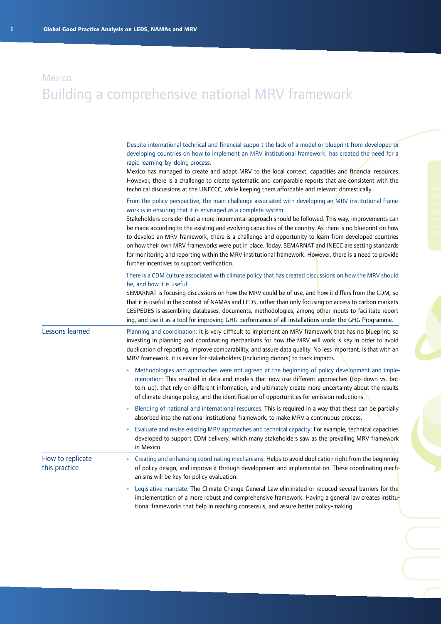|                                   | Despite international technical and financial support the lack of a model or blueprint from developed or<br>developing countries on how to implement an MRV institutional framework, has created the need for a<br>rapid learning-by-doing process.<br>Mexico has managed to create and adapt MRV to the local context, capacities and financial resources.<br>However, there is a challenge to create systematic and comparable reports that are consistent with the<br>technical discussions at the UNFCCC, while keeping them affordable and relevant domestically.                                                                                                                                                                                                 |
|-----------------------------------|------------------------------------------------------------------------------------------------------------------------------------------------------------------------------------------------------------------------------------------------------------------------------------------------------------------------------------------------------------------------------------------------------------------------------------------------------------------------------------------------------------------------------------------------------------------------------------------------------------------------------------------------------------------------------------------------------------------------------------------------------------------------|
|                                   | From the policy perspective, the main challenge associated with developing an MRV institutional frame-<br>work is in ensuring that it is envisaged as a complete system.<br>Stakeholders consider that a more incremental approach should be followed. This way, improvements can<br>be made according to the existing and evolving capacities of the country. As there is no blueprint on how<br>to develop an MRV framework, there is a challenge and opportunity to learn from developed countries<br>on how their own MRV frameworks were put in place. Today, SEMARNAT and INECC are setting standards<br>for monitoring and reporting within the MRV institutional framework. However, there is a need to provide<br>further incentives to support verification. |
|                                   | There is a CDM culture associated with climate policy that has created discussions on how the MRV should<br>be, and how it is useful.<br>SEMARNAT is focusing discussions on how the MRV could be of use, and how it differs from the CDM, so<br>that it is useful in the context of NAMAs and LEDS, rather than only focusing on access to carbon markets.<br>CESPEDES is assembling databases, documents, methodologies, among other inputs to facilitate report-<br>ing, and use it as a tool for improving GHG performance of all installations under the GHG Programme.                                                                                                                                                                                           |
| Lessons learned                   | Planning and coordination: It is very difficult to implement an MRV framework that has no blueprint, so<br>investing in planning and coordinating mechanisms for how the MRV will work is key in order to avoid<br>duplication of reporting, improve comparability, and assure data quality. No less important, is that with an<br>MRV framework, it is easier for stakeholders (including donors) to track impacts.                                                                                                                                                                                                                                                                                                                                                   |
|                                   | Methodologies and approaches were not agreed at the beginning of policy development and imple-<br>$\mathbf{v}$<br>mentation: This resulted in data and models that now use different approaches (top-down vs. bot-<br>tom-up), that rely on different information, and ultimately create more uncertainty about the results<br>of climate change policy, and the identification of opportunities for emission reductions.                                                                                                                                                                                                                                                                                                                                              |
|                                   | Blending of national and international resources: This is required in a way that these can be partially<br>$\boldsymbol{\mathcal{V}}$<br>absorbed into the national institutional framework, to make MRV a continuous process.                                                                                                                                                                                                                                                                                                                                                                                                                                                                                                                                         |
|                                   | Evaluate and revise existing MRV approaches and technical capacity: For example, technical capacities<br>$\boldsymbol{\mathcal{V}}$<br>developed to support CDM delivery, which many stakeholders saw as the prevailing MRV framework<br>in Mexico.                                                                                                                                                                                                                                                                                                                                                                                                                                                                                                                    |
| How to replicate<br>this practice | Creating and enhancing coordinating mechanisms: Helps to avoid duplication right from the beginning<br>$\boldsymbol{\mathcal{Y}}$<br>of policy design, and improve it through development and implementation. These coordinating mech-<br>anisms will be key for policy evaluation.                                                                                                                                                                                                                                                                                                                                                                                                                                                                                    |
|                                   | Legislative mandate: The Climate Change General Law eliminated or reduced several barriers for the<br>$\boldsymbol{\mathcal{V}}$<br>implementation of a more robust and comprehensive framework. Having a general law creates institu-<br>tional frameworks that help in reaching consensus, and assure better policy-making.                                                                                                                                                                                                                                                                                                                                                                                                                                          |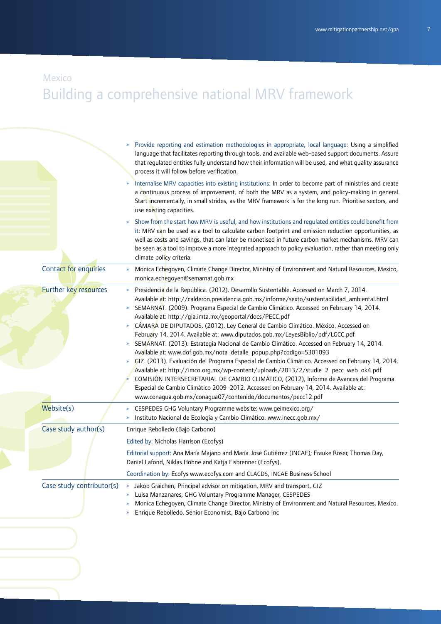### Mexico

|                           | Provide reporting and estimation methodologies in appropriate, local language: Using a simplified<br>»<br>language that facilitates reporting through tools, and available web-based support documents. Assure<br>that regulated entities fully understand how their information will be used, and what quality assurance<br>process it will follow before verification.<br>Internalise MRV capacities into existing institutions: In order to become part of ministries and create<br>a continuous process of improvement, of both the MRV as a system, and policy-making in general.<br>Start incrementally, in small strides, as the MRV framework is for the long run. Prioritise sectors, and<br>use existing capacities.                                                                                                                                                                                                                                                                                                                                                                                                                                                   |
|---------------------------|----------------------------------------------------------------------------------------------------------------------------------------------------------------------------------------------------------------------------------------------------------------------------------------------------------------------------------------------------------------------------------------------------------------------------------------------------------------------------------------------------------------------------------------------------------------------------------------------------------------------------------------------------------------------------------------------------------------------------------------------------------------------------------------------------------------------------------------------------------------------------------------------------------------------------------------------------------------------------------------------------------------------------------------------------------------------------------------------------------------------------------------------------------------------------------|
|                           | Show from the start how MRV is useful, and how institutions and regulated entities could benefit from<br>$\boldsymbol{\mathcal{V}}$<br>it: MRV can be used as a tool to calculate carbon footprint and emission reduction opportunities, as<br>well as costs and savings, that can later be monetised in future carbon market mechanisms. MRV can<br>be seen as a tool to improve a more integrated approach to policy evaluation, rather than meeting only<br>climate policy criteria.                                                                                                                                                                                                                                                                                                                                                                                                                                                                                                                                                                                                                                                                                          |
| Contact for enquiries     | Monica Echegoyen, Climate Change Director, Ministry of Environment and Natural Resources, Mexico,<br>$\boldsymbol{\mathcal{V}}$<br>monica.echegoyen@semarnat.gob.mx                                                                                                                                                                                                                                                                                                                                                                                                                                                                                                                                                                                                                                                                                                                                                                                                                                                                                                                                                                                                              |
| Further key resources     | Presidencia de la República. (2012). Desarrollo Sustentable. Accessed on March 7, 2014.<br>Available at: http://calderon.presidencia.gob.mx/informe/sexto/sustentabilidad_ambiental.html<br>SEMARNAT. (2009). Programa Especial de Cambio Climático. Accessed on February 14, 2014.<br>»<br>Available at: http://gia.imta.mx/geoportal/docs/PECC.pdf<br>CÁMARA DE DIPUTADOS. (2012). Ley General de Cambio Climático. México. Accessed on<br>February 14, 2014. Available at: www.diputados.gob.mx/LeyesBiblio/pdf/LGCC.pdf<br>SEMARNAT. (2013). Estrategia Nacional de Cambio Climático. Accessed on February 14, 2014.<br>»<br>Available at: www.dof.gob.mx/nota_detalle_popup.php?codigo=5301093<br>GIZ. (2013). Evaluación del Programa Especial de Cambio Climático. Accessed on February 14, 2014.<br>$\boldsymbol{\mathcal{V}}$<br>Available at: http://imco.org.mx/wp-content/uploads/2013/2/studie_2_pecc_web_ok4.pdf<br>COMISIÓN INTERSECRETARIAL DE CAMBIO CLIMÁTICO, (2012), Informe de Avances del Programa<br>Especial de Cambio Climático 2009-2012. Accessed on February 14, 2014. Available at:<br>www.conagua.gob.mx/conagua07/contenido/documentos/pecc12.pdf |
| Website(s)                | CESPEDES GHG Voluntary Programme website: www.geimexico.org/<br>»<br>Instituto Nacional de Ecología y Cambio Climático. www.inecc.gob.mx/<br>$\boldsymbol{\mathcal{V}}$                                                                                                                                                                                                                                                                                                                                                                                                                                                                                                                                                                                                                                                                                                                                                                                                                                                                                                                                                                                                          |
| Case study author(s)      | Enrique Rebolledo (Bajo Carbono)                                                                                                                                                                                                                                                                                                                                                                                                                                                                                                                                                                                                                                                                                                                                                                                                                                                                                                                                                                                                                                                                                                                                                 |
|                           | Edited by: Nicholas Harrison (Ecofys)                                                                                                                                                                                                                                                                                                                                                                                                                                                                                                                                                                                                                                                                                                                                                                                                                                                                                                                                                                                                                                                                                                                                            |
|                           | Editorial support: Ana María Majano and María José Gutiérrez (INCAE); Frauke Röser, Thomas Day,<br>Daniel Lafond, Niklas Höhne and Katja Eisbrenner (Ecofys).                                                                                                                                                                                                                                                                                                                                                                                                                                                                                                                                                                                                                                                                                                                                                                                                                                                                                                                                                                                                                    |
|                           | Coordination by: Ecofys www.ecofys.com and CLACDS, INCAE Business School                                                                                                                                                                                                                                                                                                                                                                                                                                                                                                                                                                                                                                                                                                                                                                                                                                                                                                                                                                                                                                                                                                         |
| Case study contributor(s) | » Jakob Graichen, Principal advisor on mitigation, MRV and transport, GIZ<br>Luisa Manzanares, GHG Voluntary Programme Manager, CESPEDES<br>»<br>Monica Echegoyen, Climate Change Director, Ministry of Environment and Natural Resources, Mexico.<br>»<br>Enrique Rebolledo, Senior Economist, Bajo Carbono Inc<br>»                                                                                                                                                                                                                                                                                                                                                                                                                                                                                                                                                                                                                                                                                                                                                                                                                                                            |